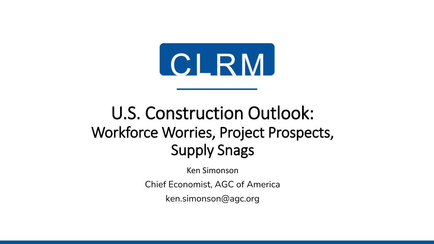

# U.S. Construction Outlook: Workforce Worries, Project Prospects, Supply Snags

Ken Simonson

Chief Economist, AGC of America

ken.simonson@agc.org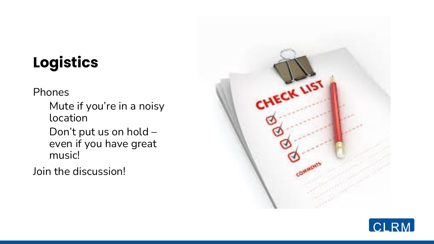# **Logistics**

Phones

Mute if you're in a noisy location

Don't put us on hold – even if you have great music!

Join the discussion!



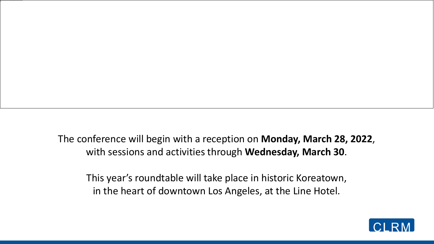The conference will begin with a reception on **Monday, March 28, 2022**, with sessions and activities through **Wednesday, March 30**.

To help protect your privacy, PowerPoint has blocked automatic download of this picture.

This year's roundtable will take place in historic Koreatown, in the heart of downtown Los Angeles, at the Line Hotel.

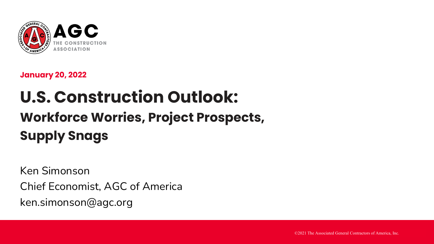

**January 20, 2022**

# **U.S. Construction Outlook: Workforce Worries, Project Prospects, Supply Snags**

Ken Simonson Chief Economist, AGC of America ken.simonson@agc.org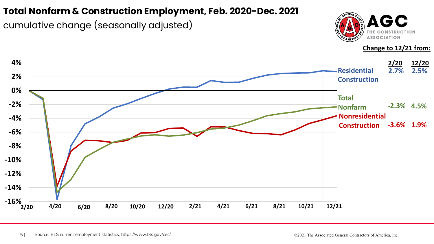#### **Total Nonfarm & Construction Employment, Feb. 2020-Dec. 2021**

cumulative change (seasonally adjusted)



**Change to 12/21 from:**

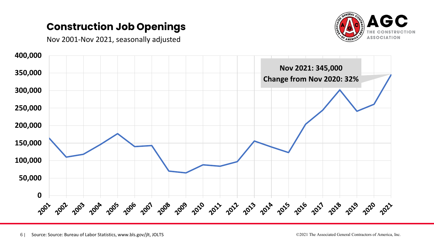### **Construction Job Openings**



Nov 2001-Nov 2021, seasonally adjusted

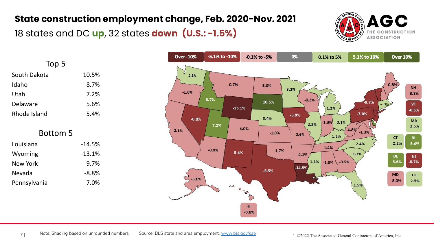#### **State construction employment change, Feb. 2020-Nov. 2021**

18 states and DC **up**, 32 states **down (U.S.: -1.5%)** 



| Top 5        |          |
|--------------|----------|
| South Dakota | 10.5%    |
| Idaho        | 8.7%     |
| Utah         | 7.2%     |
| Delaware     | 5.6%     |
| Rhode Island | 5.4%     |
| Bottom 5     |          |
| Louisiana    | $-14.5%$ |
| Wyoming      | $-13.1%$ |
| New York     | $-9.7%$  |
|              |          |
| Nevada       | $-8.8%$  |

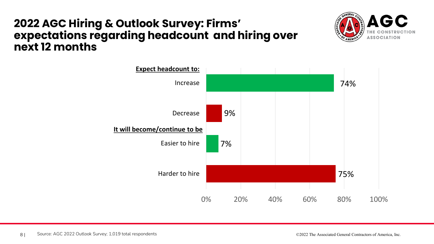### **2022 AGC Hiring & Outlook Survey: Firms' expectations regarding headcount and hiring over next 12 months**



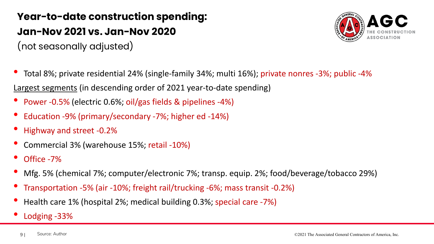# **Year-to-date construction spending: Jan-Nov 2021 vs. Jan-Nov 2020**

(not seasonally adjusted)



- Total 8%; private residential 24% (single-family 34%; multi 16%); private nonres -3%; public -4% Largest segments (in descending order of 2021 year-to-date spending)
- Power -0.5% (electric 0.6%; oil/gas fields & pipelines -4%)
- Education -9% (primary/secondary -7%; higher ed -14%)
- Highway and street -0.2%
- Commercial 3% (warehouse 15%; retail -10%)
- Office -7%
- Mfg. 5% (chemical 7%; computer/electronic 7%; transp. equip. 2%; food/beverage/tobacco 29%)
- Transportation -5% (air -10%; freight rail/trucking -6%; mass transit -0.2%)
- Health care 1% (hospital 2%; medical building 0.3%; special care -7%)
- Lodging -33%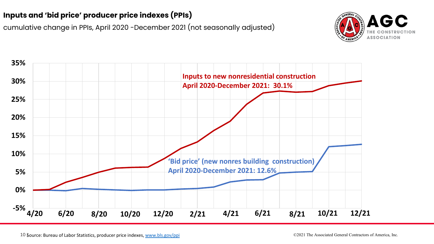#### **Inputs and 'bid price' producer price indexes (PPIs)**

cumulative change in PPIs, April 2020 -December 2021 (not seasonally adjusted)



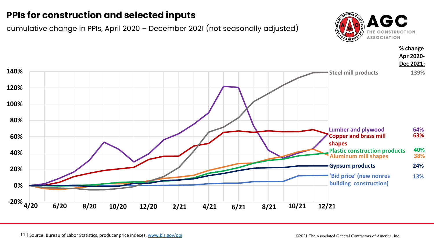#### **PPIs for construction and selected inputs**

cumulative change in PPIs, April 2020 – December 2021 (not seasonally adjusted)



**% change**

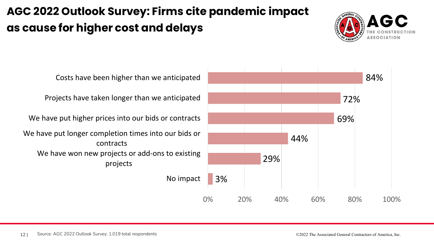# **AGC 2022 Outlook Survey: Firms cite pandemic impact as cause for higher cost and delays**



No impact We have won new projects or add-ons to existing projects We have put longer completion times into our bids or contracts We have put higher prices into our bids or contracts Projects have taken longer than we anticipated Costs have been higher than we anticipated

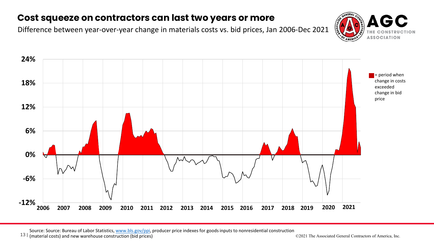#### **Cost squeeze on contractors can last two years or more**

Difference between year-over-year change in materials costs vs. bid prices, Jan 2006-Dec 2021





Source: Source: Bureau of Labor Statistics, [www.bls.gov/ppi,](http://www.bls.gov/ppi) producer price indexes for goods inputs to nonresidential construction<br>(material costs) and new warehouse construction (bid prices)<br>C2021 The Associated General

13 | (material costs) and new warehouse construction (bid prices) presences price included to the Associated General Contractors of America, Inc.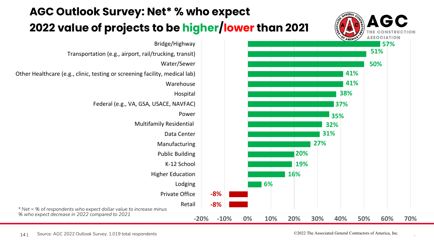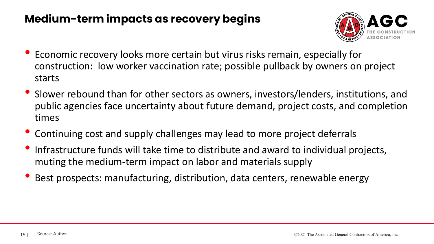### **Medium-term impacts as recovery begins**



- Economic recovery looks more certain but virus risks remain, especially for construction: low worker vaccination rate; possible pullback by owners on project starts
- Slower rebound than for other sectors as owners, investors/lenders, institutions, and public agencies face uncertainty about future demand, project costs, and completion times
- Continuing cost and supply challenges may lead to more project deferrals
- Infrastructure funds will take time to distribute and award to individual projects, muting the medium-term impact on labor and materials supply
- Best prospects: manufacturing, distribution, data centers, renewable energy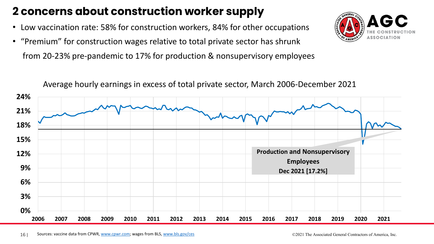## **2 concerns about construction worker supply**

- Low vaccination rate: 58% for construction workers, 84% for other occupations
- "Premium" for construction wages relative to total private sector has shrunk from 20-23% pre-pandemic to 17% for production & nonsupervisory employees



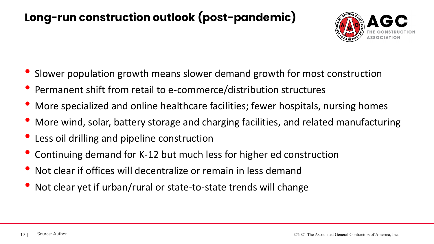## **Long-run construction outlook (post-pandemic)**



- Slower population growth means slower demand growth for most construction
- Permanent shift from retail to e-commerce/distribution structures
- More specialized and online healthcare facilities; fewer hospitals, nursing homes
- More wind, solar, battery storage and charging facilities, and related manufacturing
- Less oil drilling and pipeline construction
- Continuing demand for K-12 but much less for higher ed construction
- Not clear if offices will decentralize or remain in less demand
- Not clear yet if urban/rural or state-to-state trends will change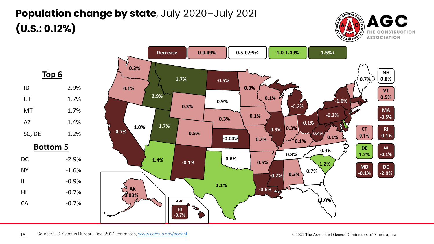# **Population change by state**, July 2020–July 2021 **(U.S.: 0.12%)**